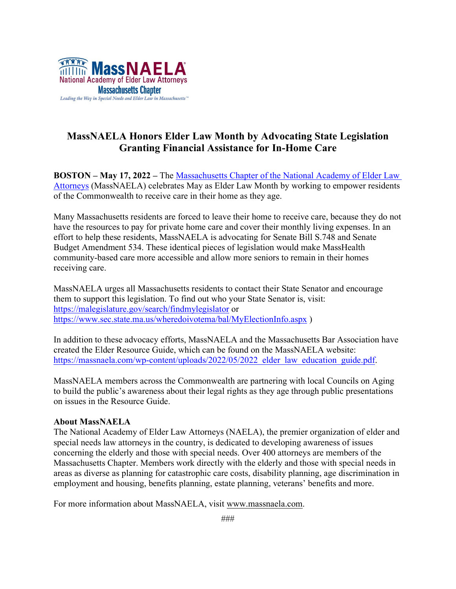

## **MassNAELA Honors Elder Law Month by Advocating State Legislation Granting Financial Assistance for In-Home Care**

**BOSTON – May 17, 2022 –** The [Massachusetts Chapter of the National Academy of Elder Law](about:blank)  [Attorneys](about:blank) (MassNAELA) celebrates May as Elder Law Month by working to empower residents of the Commonwealth to receive care in their home as they age.

Many Massachusetts residents are forced to leave their home to receive care, because they do not have the resources to pay for private home care and cover their monthly living expenses. In an effort to help these residents, MassNAELA is advocating for Senate Bill S.748 and Senate Budget Amendment 534. These identical pieces of legislation would make MassHealth community-based care more accessible and allow more seniors to remain in their homes receiving care.

MassNAELA urges all Massachusetts residents to contact their State Senator and encourage them to support this legislation. To find out who your State Senator is, visit: <https://malegislature.gov/search/findmylegislator> or <https://www.sec.state.ma.us/wheredoivotema/bal/MyElectionInfo.aspx> )

In addition to these advocacy efforts, MassNAELA and the Massachusetts Bar Association have created the Elder Resource Guide, which can be found on the MassNAELA website: [https://massnaela.com/wp-content/uploads/2022/05/2022\\_elder\\_law\\_education\\_guide.pdf.](https://massnaela.com/wp-content/uploads/2022/05/2022_elder_law_education_guide.pdf)

MassNAELA members across the Commonwealth are partnering with local Councils on Aging to build the public's awareness about their legal rights as they age through public presentations on issues in the Resource Guide.

## **About MassNAELA**

The National Academy of Elder Law Attorneys (NAELA), the premier organization of elder and special needs law attorneys in the country, is dedicated to developing awareness of issues concerning the elderly and those with special needs. Over 400 attorneys are members of the Massachusetts Chapter. Members work directly with the elderly and those with special needs in areas as diverse as planning for catastrophic care costs, disability planning, age discrimination in employment and housing, benefits planning, estate planning, veterans' benefits and more.

For more information about MassNAELA, visit [www.massnaela.com.](about:blank)